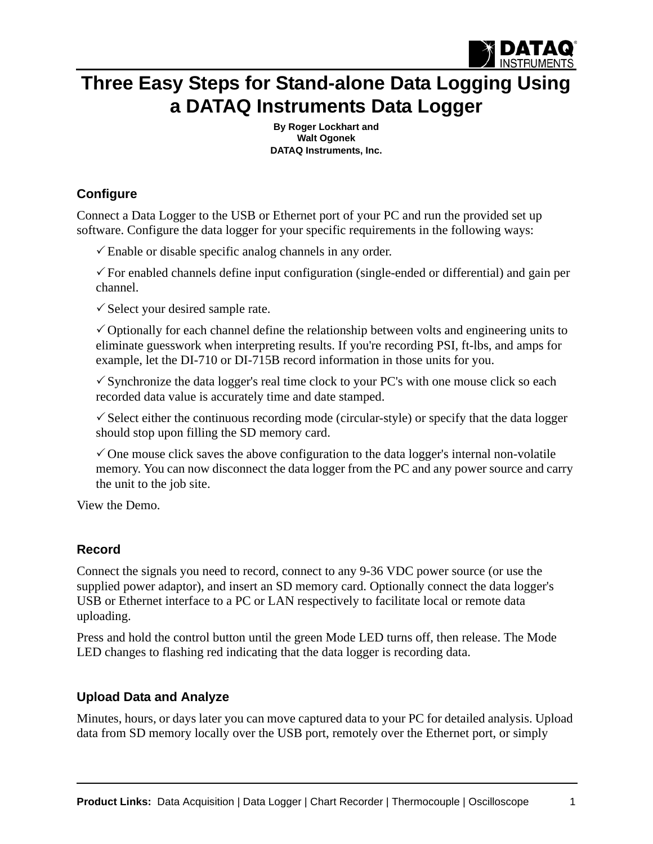

## **[Three Easy Steps for Stand-alone Data Logging Using](http://www.dataq.com/data-logger/data-logger.html)  a DATAQ Instruments Data Logger**

**By Roger Lockhart and Walt Ogonek [DATAQ Instruments, Inc.](http://www.dataq.com)**

## **Configure**

[Connect a Data Logger to the USB or Ethernet port of your PC and run the provided set up](http://www.dataq.com/data-logger/data-logger.html)  software. Configure the data logger for your specific requirements in the following ways:

 $\checkmark$  Enable or disable specific analog channels in any order.

 $\checkmark$  For enabled channels define input configuration (single-ended or differential) and gain per channel.

 $\checkmark$  Select your desired sample rate.

 $\checkmark$  Optionally for each channel define the relationship between volts and engineering units to eliminate guesswork when interpreting results. If you're recording PSI, ft-lbs, and amps for example, let the DI-710 or DI-715B record information in those units for you.

 $\checkmark$  Synchronize the data logger's real time clock to your PC's with one mouse click so each recorded data value is accurately time and date stamped.

 $\checkmark$  Select either the continuous recording mode (circular-style) or specify that the data logger should stop upon filling the SD memory card.

 $\checkmark$  One mouse click saves the above configuration to the data logger's internal non-volatile memory. You can now disconnect the data logger from the PC and any power source and carry the unit to the job site.

[View the Demo.](http://www.dataq.com/stand-alone/DI710_SetUp.htm)

## **Record**

Connect the signals you need to record, connect to any 9-36 VDC power source (or use the supplied power adaptor), and insert an SD memory card. Optionally connect the data logger's USB or Ethernet interface to a PC or LAN respectively to facilitate local or remote data uploading.

Press and hold the control button until the green Mode LED turns off, then release. The Mode LED changes to flashing red indicating that the data logger is recording data.

## **Upload Data and Analyze**

Minutes, hours, or days later you can move captured data to your PC for detailed analysis. Upload data from SD memory locally over the USB port, remotely over the Ethernet port, or simply